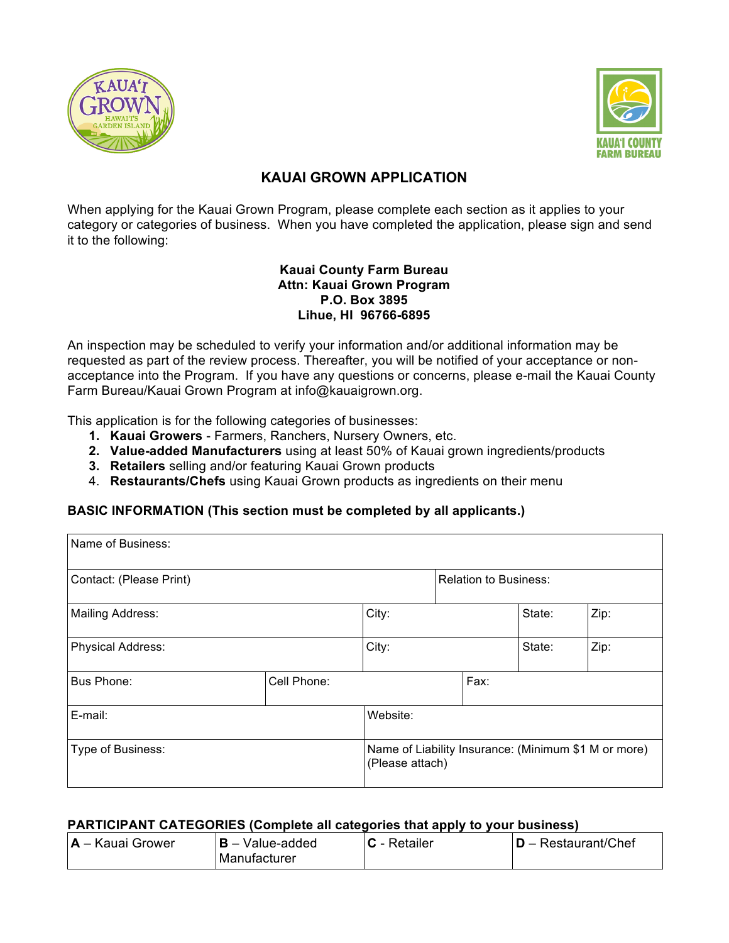



## **KAUAI GROWN APPLICATION**

When applying for the Kauai Grown Program, please complete each section as it applies to your category or categories of business. When you have completed the application, please sign and send it to the following:

#### **Kauai County Farm Bureau Attn: Kauai Grown Program P.O. Box 3895 Lihue, HI 96766-6895**

An inspection may be scheduled to verify your information and/or additional information may be requested as part of the review process. Thereafter, you will be notified of your acceptance or nonacceptance into the Program. If you have any questions or concerns, please e-mail the Kauai County Farm Bureau/Kauai Grown Program at info@kauaigrown.org.

This application is for the following categories of businesses:

- **1. Kauai Growers**  Farmers, Ranchers, Nursery Owners, etc.
- **2. Value-added Manufacturers** using at least 50% of Kauai grown ingredients/products
- **3. Retailers** selling and/or featuring Kauai Grown products
- 4. **Restaurants/Chefs** using Kauai Grown products as ingredients on their menu

### **BASIC INFORMATION (This section must be completed by all applicants.)**

| Name of Business:       |             |                                                                         |                              |      |        |      |
|-------------------------|-------------|-------------------------------------------------------------------------|------------------------------|------|--------|------|
| Contact: (Please Print) |             |                                                                         | <b>Relation to Business:</b> |      |        |      |
| Mailing Address:        |             | City:                                                                   |                              |      | State: | Zip: |
| Physical Address:       |             | City:                                                                   |                              |      | State: | Zip: |
| Bus Phone:              | Cell Phone: |                                                                         |                              | Fax: |        |      |
| E-mail:                 |             | Website:                                                                |                              |      |        |      |
| Type of Business:       |             | Name of Liability Insurance: (Minimum \$1 M or more)<br>(Please attach) |                              |      |        |      |

#### **PARTICIPANT CATEGORIES (Complete all categories that apply to your business)**

| <b>IA</b> – Kauai Grower<br>I <b>B</b> – Value-added<br>Manufacturer | ⊺C - Retailer | $D -$ Restaurant/Chef |
|----------------------------------------------------------------------|---------------|-----------------------|
|----------------------------------------------------------------------|---------------|-----------------------|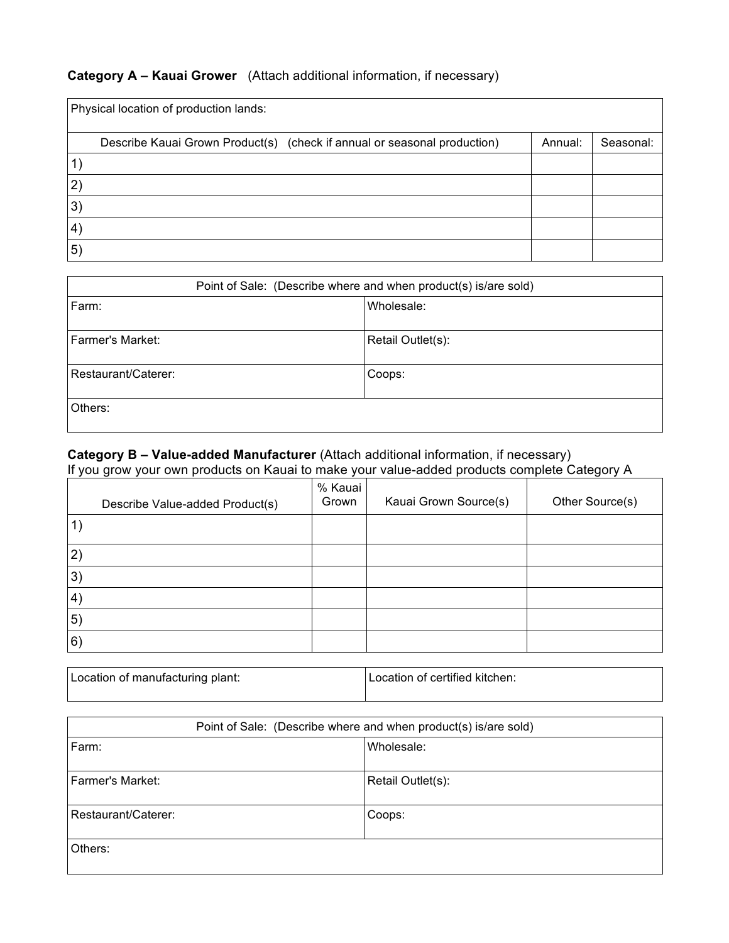# **Category A – Kauai Grower** (Attach additional information, if necessary)

|           | Physical location of production lands:                                   |         |           |
|-----------|--------------------------------------------------------------------------|---------|-----------|
|           | Describe Kauai Grown Product(s) (check if annual or seasonal production) | Annual: | Seasonal: |
|           |                                                                          |         |           |
| 2)        |                                                                          |         |           |
| 3)        |                                                                          |         |           |
| $\ket{4}$ |                                                                          |         |           |
| 5)        |                                                                          |         |           |

| Point of Sale: (Describe where and when product(s) is/are sold) |                   |  |  |
|-----------------------------------------------------------------|-------------------|--|--|
| Farm:                                                           | Wholesale:        |  |  |
| Farmer's Market:                                                | Retail Outlet(s): |  |  |
| Restaurant/Caterer:<br>Coops:                                   |                   |  |  |
| Others:                                                         |                   |  |  |

### **Category B – Value-added Manufacturer** (Attach additional information, if necessary) If you grow your own products on Kauai to make your value-added products complete Category A

|                   | Describe Value-added Product(s) | % Kauai<br>Grown | Kauai Grown Source(s) | Other Source(s) |
|-------------------|---------------------------------|------------------|-----------------------|-----------------|
| $\mathbf{1}$      |                                 |                  |                       |                 |
| 2)                |                                 |                  |                       |                 |
| 3)                |                                 |                  |                       |                 |
| $\vert 4 \rangle$ |                                 |                  |                       |                 |
| 5)                |                                 |                  |                       |                 |
| 6)                |                                 |                  |                       |                 |

| Location of manufacturing plant: | Location of certified kitchen: |
|----------------------------------|--------------------------------|
|                                  |                                |

| Point of Sale: (Describe where and when product(s) is/are sold) |                   |  |  |
|-----------------------------------------------------------------|-------------------|--|--|
| Farm:                                                           | Wholesale:        |  |  |
| Farmer's Market:                                                | Retail Outlet(s): |  |  |
| Restaurant/Caterer:                                             | Coops:            |  |  |
| Others:                                                         |                   |  |  |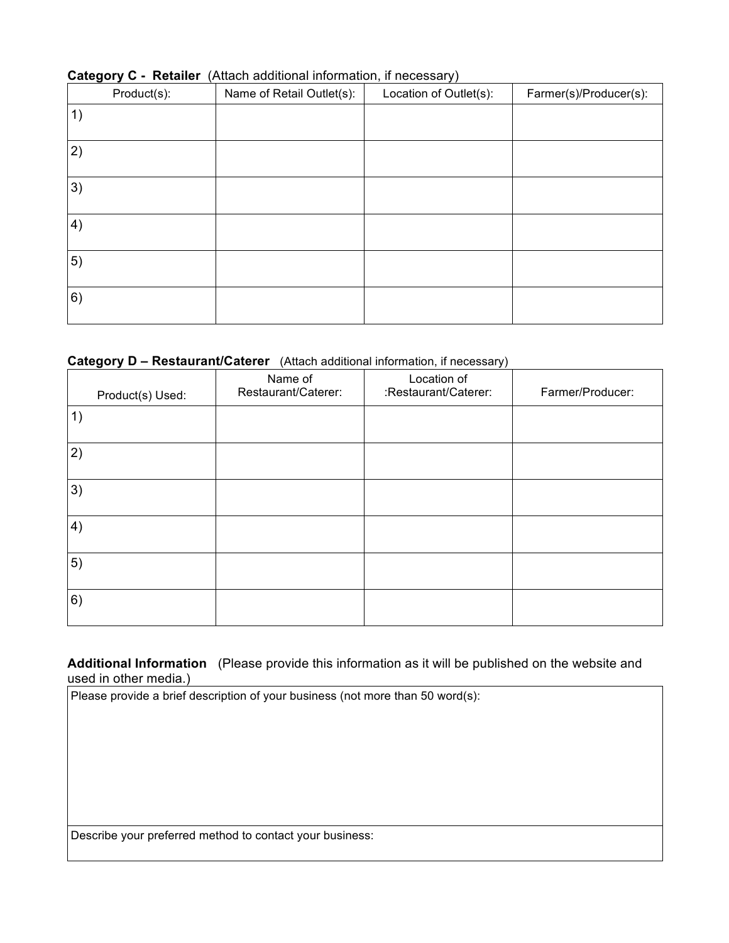| Product(s): | Name of Retail Outlet(s): | . .<br>Location of Outlet(s): | Farmer(s)/Producer(s): |
|-------------|---------------------------|-------------------------------|------------------------|
| 1)          |                           |                               |                        |
| 2)          |                           |                               |                        |
| 3)          |                           |                               |                        |
| 4)          |                           |                               |                        |
| 5)          |                           |                               |                        |
| 6)          |                           |                               |                        |

#### **Category C - Retailer** (Attach additional information, if necessary)

#### **Category D – Restaurant/Caterer** (Attach additional information, if necessary)

| Product(s) Used: | Name of<br>Restaurant/Caterer: | Location of<br>:Restaurant/Caterer: | Farmer/Producer: |
|------------------|--------------------------------|-------------------------------------|------------------|
| 1)               |                                |                                     |                  |
| 2)               |                                |                                     |                  |
| 3)               |                                |                                     |                  |
| 4)               |                                |                                     |                  |
| 5)               |                                |                                     |                  |
| 6)               |                                |                                     |                  |

**Additional Information** (Please provide this information as it will be published on the website and used in other media.)

Please provide a brief description of your business (not more than 50 word(s):

Describe your preferred method to contact your business: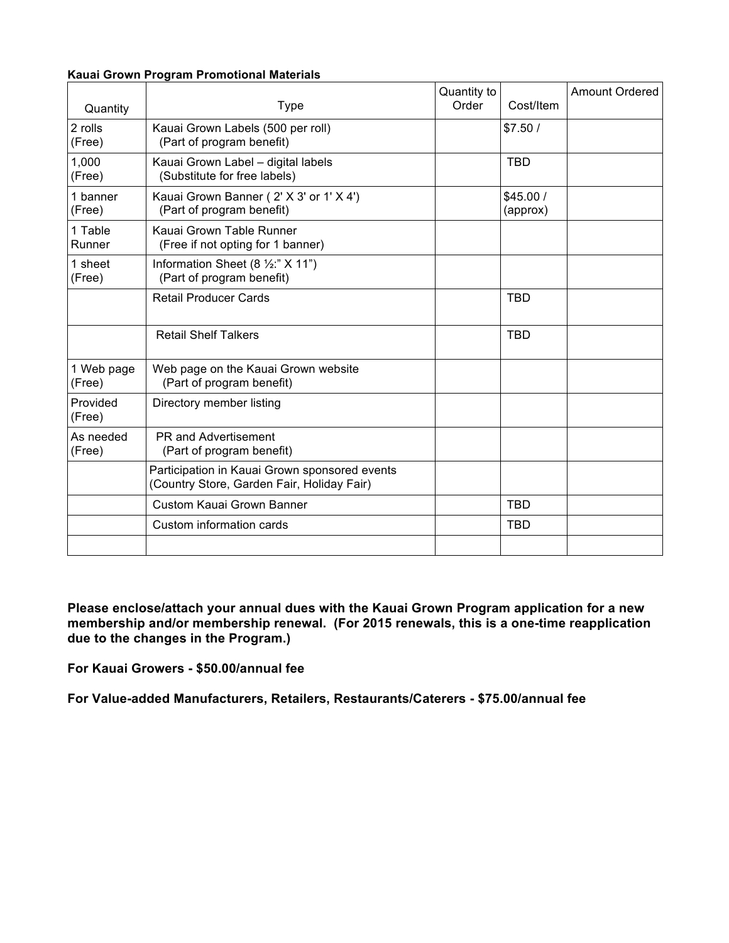#### **Kauai Grown Program Promotional Materials**

| Quantity             | <b>Type</b>                                                                                 | Quantity to<br>Order | Cost/Item            | <b>Amount Ordered</b> |
|----------------------|---------------------------------------------------------------------------------------------|----------------------|----------------------|-----------------------|
| 2 rolls<br>(Free)    | Kauai Grown Labels (500 per roll)<br>(Part of program benefit)                              |                      | \$7.50/              |                       |
| 1,000<br>(Free)      | Kauai Grown Label - digital labels<br>(Substitute for free labels)                          |                      | <b>TBD</b>           |                       |
| 1 banner<br>(Free)   | Kauai Grown Banner (2' X 3' or 1' X 4')<br>(Part of program benefit)                        |                      | \$45.00/<br>(approx) |                       |
| 1 Table<br>Runner    | Kauai Grown Table Runner<br>(Free if not opting for 1 banner)                               |                      |                      |                       |
| 1 sheet<br>(Free)    | Information Sheet (8 $\frac{1}{2}$ :" X 11")<br>(Part of program benefit)                   |                      |                      |                       |
|                      | <b>Retail Producer Cards</b>                                                                |                      | <b>TBD</b>           |                       |
|                      | <b>Retail Shelf Talkers</b>                                                                 |                      | <b>TBD</b>           |                       |
| 1 Web page<br>(Free) | Web page on the Kauai Grown website<br>(Part of program benefit)                            |                      |                      |                       |
| Provided<br>(Free)   | Directory member listing                                                                    |                      |                      |                       |
| As needed<br>(Free)  | <b>PR and Advertisement</b><br>(Part of program benefit)                                    |                      |                      |                       |
|                      | Participation in Kauai Grown sponsored events<br>(Country Store, Garden Fair, Holiday Fair) |                      |                      |                       |
|                      | Custom Kauai Grown Banner                                                                   |                      | <b>TBD</b>           |                       |
|                      | Custom information cards                                                                    |                      | <b>TBD</b>           |                       |
|                      |                                                                                             |                      |                      |                       |

**Please enclose/attach your annual dues with the Kauai Grown Program application for a new membership and/or membership renewal. (For 2015 renewals, this is a one-time reapplication due to the changes in the Program.)**

**For Kauai Growers - \$50.00/annual fee**

**For Value-added Manufacturers, Retailers, Restaurants/Caterers - \$75.00/annual fee**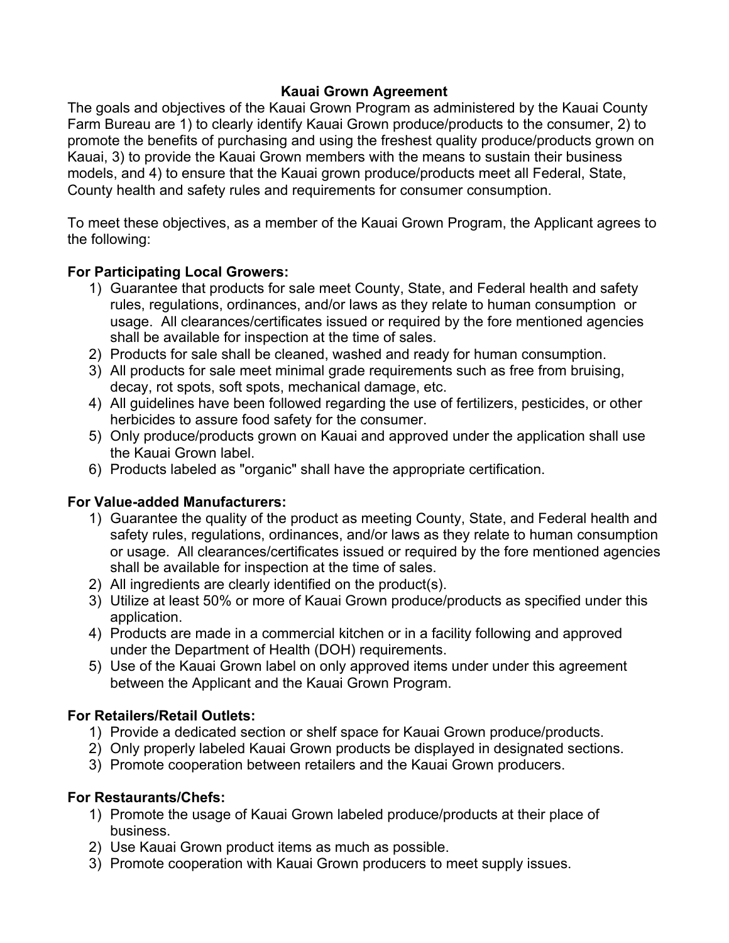### **Kauai Grown Agreement**

The goals and objectives of the Kauai Grown Program as administered by the Kauai County Farm Bureau are 1) to clearly identify Kauai Grown produce/products to the consumer, 2) to promote the benefits of purchasing and using the freshest quality produce/products grown on Kauai, 3) to provide the Kauai Grown members with the means to sustain their business models, and 4) to ensure that the Kauai grown produce/products meet all Federal, State, County health and safety rules and requirements for consumer consumption.

To meet these objectives, as a member of the Kauai Grown Program, the Applicant agrees to the following:

## **For Participating Local Growers:**

- 1) Guarantee that products for sale meet County, State, and Federal health and safety rules, regulations, ordinances, and/or laws as they relate to human consumption or usage. All clearances/certificates issued or required by the fore mentioned agencies shall be available for inspection at the time of sales.
- 2) Products for sale shall be cleaned, washed and ready for human consumption.
- 3) All products for sale meet minimal grade requirements such as free from bruising, decay, rot spots, soft spots, mechanical damage, etc.
- 4) All guidelines have been followed regarding the use of fertilizers, pesticides, or other herbicides to assure food safety for the consumer.
- 5) Only produce/products grown on Kauai and approved under the application shall use the Kauai Grown label.
- 6) Products labeled as "organic" shall have the appropriate certification.

### **For Value-added Manufacturers:**

- 1) Guarantee the quality of the product as meeting County, State, and Federal health and safety rules, regulations, ordinances, and/or laws as they relate to human consumption or usage. All clearances/certificates issued or required by the fore mentioned agencies shall be available for inspection at the time of sales.
- 2) All ingredients are clearly identified on the product(s).
- 3) Utilize at least 50% or more of Kauai Grown produce/products as specified under this application.
- 4) Products are made in a commercial kitchen or in a facility following and approved under the Department of Health (DOH) requirements.
- 5) Use of the Kauai Grown label on only approved items under under this agreement between the Applicant and the Kauai Grown Program.

## **For Retailers/Retail Outlets:**

- 1) Provide a dedicated section or shelf space for Kauai Grown produce/products.
- 2) Only properly labeled Kauai Grown products be displayed in designated sections.
- 3) Promote cooperation between retailers and the Kauai Grown producers.

## **For Restaurants/Chefs:**

- 1) Promote the usage of Kauai Grown labeled produce/products at their place of business.
- 2) Use Kauai Grown product items as much as possible.
- 3) Promote cooperation with Kauai Grown producers to meet supply issues.